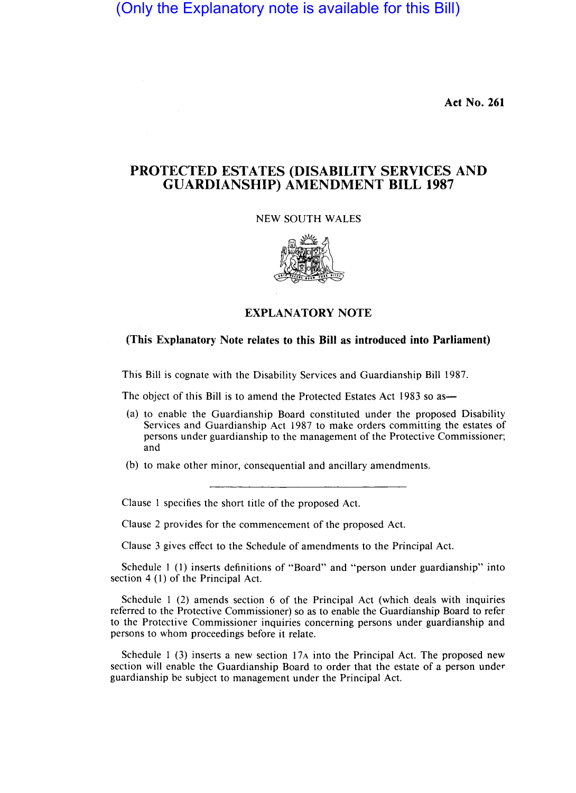(Only the Explanatory note is available for this Bill)

Act No. 261

## **PROTECTED ESTATES (DISABILITY SERVICES AND GUARDIANSHIP) AMENDMENT BILL 1987**

## NEW SOUTH WALES



## **EXPLANATORY NOTE**

## **(This Explanatory Note relates to this Bill as introduced into Parliament)**

This Bill is cognate with the Disability Services and Guardianship Bill 1987.

The object of this Bill is to amend the Protected Estates Act 1983 so as—

- (a) to enable the Guardianship Board constituted under the proposed Disability Services and Guardianship Act 1987 to make orders committing the estates of persons under guardianship to the management of the Protective Commissioner; and
- (b) to make other minor, consequential and ancillary amendments.

Clause I specifies the short title of the proposed Act.

Clause 2 provides for the commencement of the proposed Act.

Clause 3 gives effect to the Schedule of amendments to the Principal Act.

Schedule 1 (1) inserts definitions of "Board" and "person under guardianship" into section 4 (1) of the Principal Act.

Schedule 1 (2) amends section 6 of the Principal Act (which deals with inquiries referred to the Protective Commissioner) so as to enable the Guardianship Board to refer to the Protective Commissioner inquiries concerning persons under guardianship and persons to whom proceedings before it relate.

Schedule 1 (3) inserts a new section  $17A$  into the Principal Act. The proposed new section will enable the Guardianship Board to order that the estate of a person under guardianship be subject to management under the Principal Act.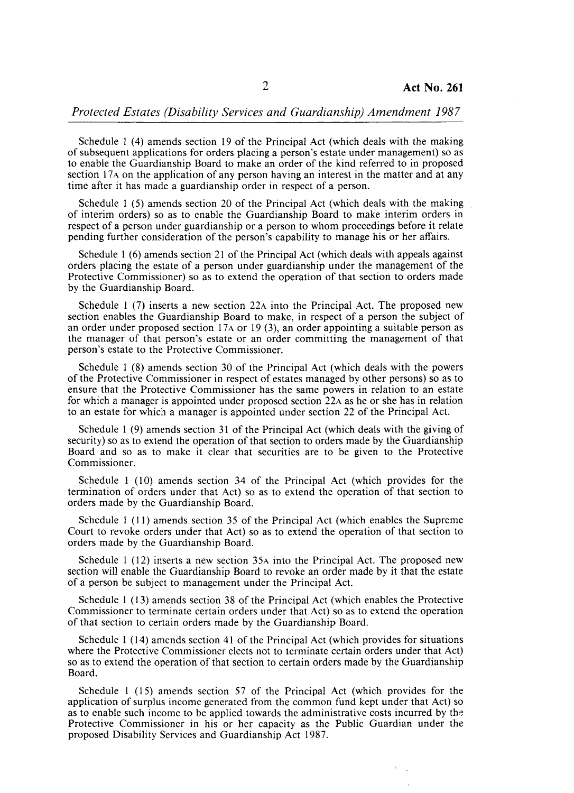Schedule I (4) amends section 19 of the Principal Act (which deals with the making of subsequent applications for orders placing a person's estate under management) so as to enable the Guardianship Board to make an order of the kind referred to in proposed section 17 $\alpha$  on the application of any person having an interest in the matter and at any time after it has made a guardianship order in respect of a person.

Schedule I (5) amends section 20 of the Principal Act (which deals with the making of interim orders) so as to enable the Guardianship Board to make interim orders in respect of a person under guardianship or a person to whom proceedings before it relate pending further consideration of the person's capability to manage his or her affairs.

Schedule I (6) amends section 21 of the Principal Act (which deals with appeals against orders placing the estate of a person under guardianship under the management of the Protective Commissioner) so as to extend the operation of that section to orders made by the Guardianship Board.

Schedule 1 (7) inserts a new section 22A into the Principal Act. The proposed new section enables the Guardianship Board to make, in respect of a person the subject of an order under proposed section 17A or 19 (3), an order appointing a suitable person as the manager of that person's estate or an order committing the management of that person's estate to the Protective Commissioner.

Schedule 1 (8) amends section 30 of the Principal Act (which deals with the powers of the Protective Commissioner in respect of estates managed by other persons) so as to ensure that the Protective Commissioner has the same powers in relation to an estate for which a manager is appointed under proposed section 22A as he or she has in relation to an estate for which a manager is appointed under section 22 of the Principal Act.

Schedule 1 (9) amends section 31 of the Principal Act (which deals with the giving of security) so as to extend the operation of that section to orders made by the Guardianship Board and so as to make it clear that securities are to be given to the Protective Commissioner.

Schedule 1 (10) amends section 34 of the Principal Act (which provides for the termination of orders under that Act) so as to extend the operation of that section to orders made by the Guardianship Board.

Schedule 1 (1) amends section 35 of the Principal Act (which enables the Supreme Court to revoke orders under that Act) so as to extend the operation of that section to orders made by the Guardianship Board.

Schedule I (12) inserts a new section 35A into the Principal Act. The proposed new section will enable the Guardianship Board to revoke an order made by it that the estate of a person be subject to management under the Principal Act.

Schedule 1 (13) amends section 38 of the Principal Act (which enables the Protective Commissioner to terminate certain orders under that Act) so as to extend the operation of that section to certain orders made by the Guardianship Board.

Schedule 1 (14) amends section 41 of the Principal Act (which provides for situations where the Protective Commissioner elects not to terminate certain orders under that Act) so as to extend the operation of that section to certain orders made by the Guardianship Board.

Schedule I (15) amends section 57 of the Principal Act (which provides for the application of surplus income generated from the common fund kept under that Act) so as to enable such income to be applied towards the administrative costs incurred by the Protective Commissioner in his or her capacity as the Public Guardian under the proposed Disability Services and Guardianship Act 1987.